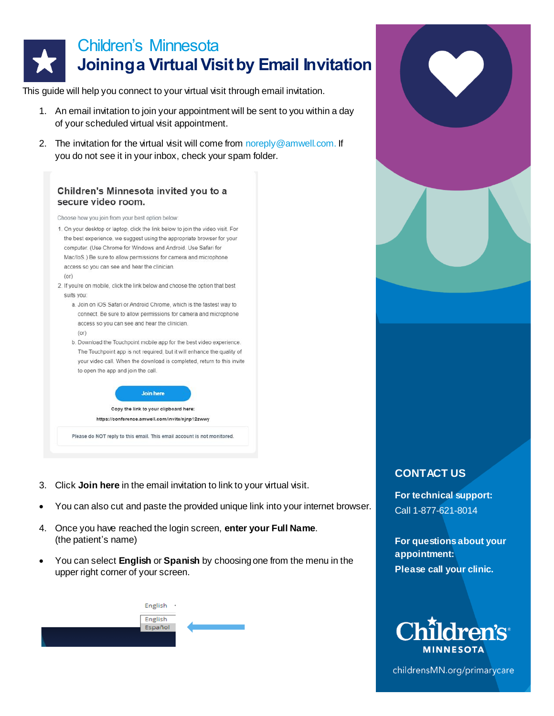

This guide will help you connect to your virtual visit through email invitation.

- 1. An email invitation to join your appointment will be sent to you within a day of your scheduled virtual visit appointment.
- 2. The invitation for the virtual visit will come fro[m noreply@amwell.com.](mailto:noreply@amwell.com.) If you do not see it in your inbox, check your spam folder.

## Children's Minnesota invited you to a secure video room.

Choose how you join from your best option below:

- 1. On your desktop or laptop, click the link below to join the video visit. For the best experience, we suggest using the appropriate browser for your computer. (Use Chrome for Windows and Android. Use Safari for Mac/loS ) Be sure to allow permissions for camera and microphone access so you can see and hear the clinician.
	- $(or)$
- 2. If you're on mobile, click the link below and choose the option that best suits you:
	- a. Join on iOS Safari or Android Chrome, which is the fastest way to connect. Be sure to allow permissions for camera and microphone access so you can see and hear the clinician.  $(0r)$
	- b. Download the Touchpoint mobile app for the best video experience. The Touchpoint app is not required, but it will enhance the quality of your video call. When the download is completed, return to this invite to open the app and join the call.



Please do NOT reply to this email. This email account is not monitored.

- 3. Click **Join here** in the email invitation to link to your virtual visit.
- You can also cut and paste the provided unique link into your internet browser.
- 4. Once you have reached the login screen, **enter your Full Name**. (the patient's name)
- You can select **English** or **Spanish** by choosing one from the menu in the upper right corner of your screen.



## **CONTACT US**

**For technical support:** Call 1-877-621-8014

**For questions about your appointment: Please call your clinic.**



childrensMN.org/primarycare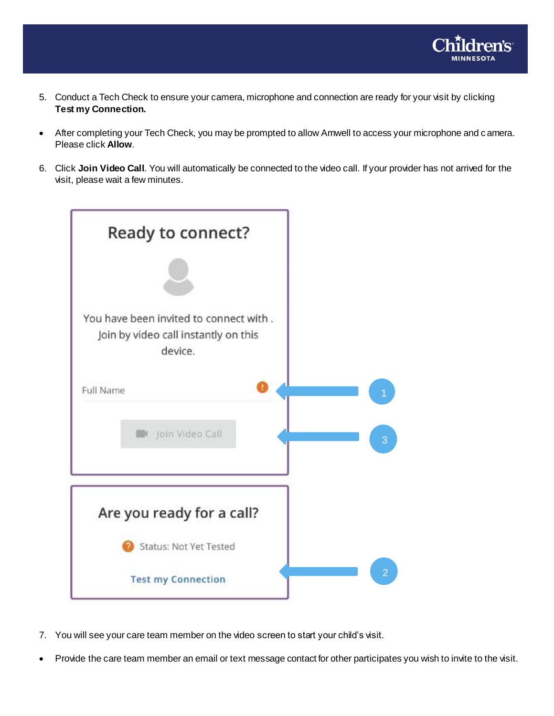

- 5. Conduct a Tech Check to ensure your camera, microphone and connection are ready for your visit by clicking **Test my Connection.**
- After completing your Tech Check, you may be prompted to allow Amwell to access your microphone and camera. Please click **Allow**.
- 6. Click **Join Video Call**. You will automatically be connected to the video call. If your provider has not arrived for the visit, please wait a few minutes.



- 7. You will see your care team member on the video screen to start your child's visit.
- Provide the care team member an email or text message contact for other participates you wish to invite to the visit.